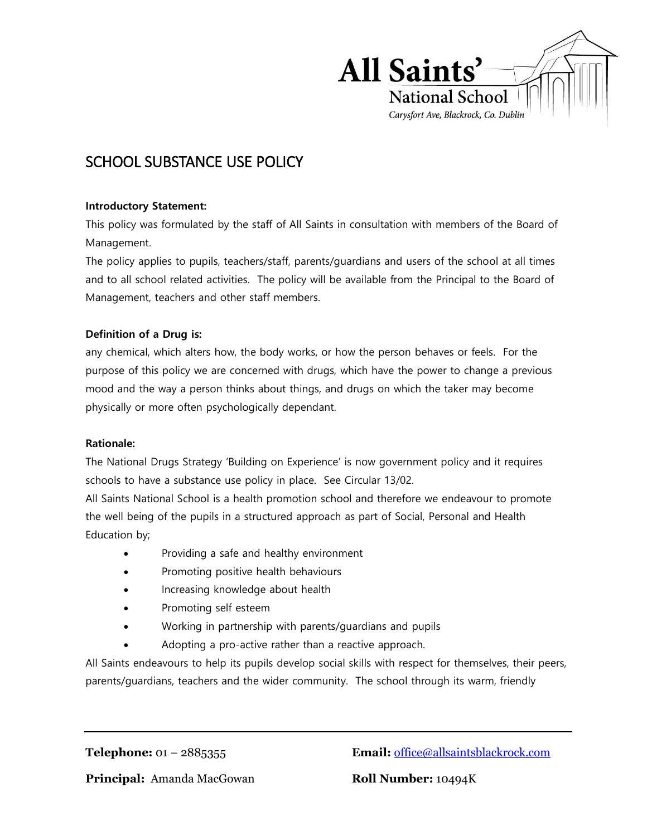

# SCHOOL SUBSTANCE USE POLICY

#### **Introductory Statement:**

This policy was formulated by the staff of All Saints in consultation with members of the Board of Management.

The policy applies to pupils, teachers/staff, parents/guardians and users of the school at all times and to all school related activities. The policy will be available from the Principal to the Board of Management, teachers and other staff members.

#### **Definition of a Drug is:**

any chemical, which alters how, the body works, or how the person behaves or feels. For the purpose of this policy we are concerned with drugs, which have the power to change a previous mood and the way a person thinks about things, and drugs on which the taker may become physically or more often psychologically dependant.

#### **Rationale:**

The National Drugs Strategy 'Building on Experience' is now government policy and it requires schools to have a substance use policy in place. See Circular 13/02.

All Saints National School is a health promotion school and therefore we endeavour to promote the well being of the pupils in a structured approach as part of Social, Personal and Health Education by;

- Providing a safe and healthy environment
- Promoting positive health behaviours
- Increasing knowledge about health
- Promoting self esteem
- Working in partnership with parents/guardians and pupils
- Adopting a pro-active rather than a reactive approach.

All Saints endeavours to help its pupils develop social skills with respect for themselves, their peers, parents/guardians, teachers and the wider community. The school through its warm, friendly

**Telephone:** 01 – 2885355 **Email:** [office@allsaintsblackrock.com](mailto:office@allsaintsblackrock.com)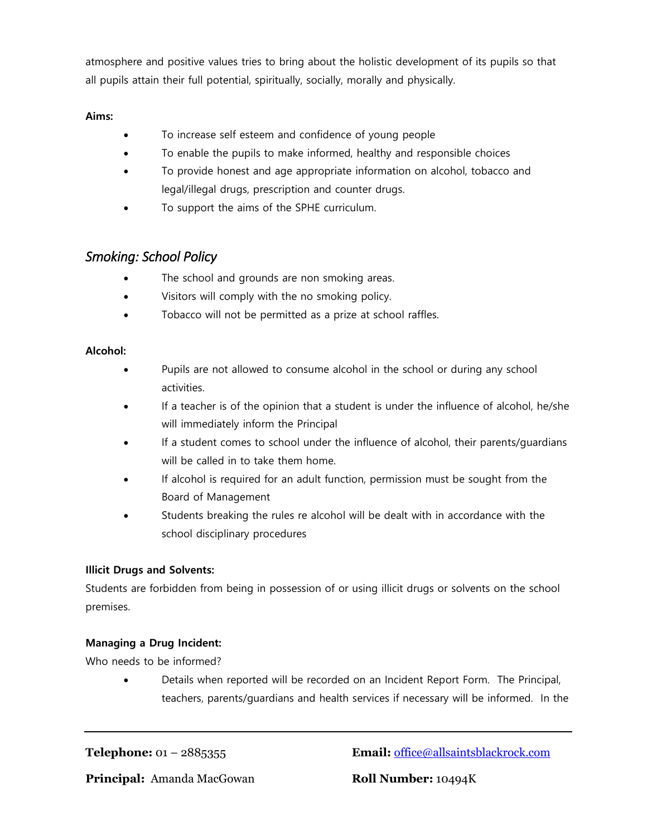atmosphere and positive values tries to bring about the holistic development of its pupils so that all pupils attain their full potential, spiritually, socially, morally and physically.

#### **Aims:**

- To increase self esteem and confidence of young people
- To enable the pupils to make informed, healthy and responsible choices
- To provide honest and age appropriate information on alcohol, tobacco and legal/illegal drugs, prescription and counter drugs.
- To support the aims of the SPHE curriculum.

# *Smoking: School Policy*

- The school and grounds are non smoking areas.
- Visitors will comply with the no smoking policy.
- Tobacco will not be permitted as a prize at school raffles.

#### **Alcohol:**

- Pupils are not allowed to consume alcohol in the school or during any school activities.
- If a teacher is of the opinion that a student is under the influence of alcohol, he/she will immediately inform the Principal
- If a student comes to school under the influence of alcohol, their parents/guardians will be called in to take them home.
- If alcohol is required for an adult function, permission must be sought from the Board of Management
- Students breaking the rules re alcohol will be dealt with in accordance with the school disciplinary procedures

# **Illicit Drugs and Solvents:**

Students are forbidden from being in possession of or using illicit drugs or solvents on the school premises.

# **Managing a Drug Incident:**

Who needs to be informed?

 Details when reported will be recorded on an Incident Report Form. The Principal, teachers, parents/guardians and health services if necessary will be informed. In the

**Telephone:** 01 – 2885355 **Email:** [office@allsaintsblackrock.com](mailto:office@allsaintsblackrock.com)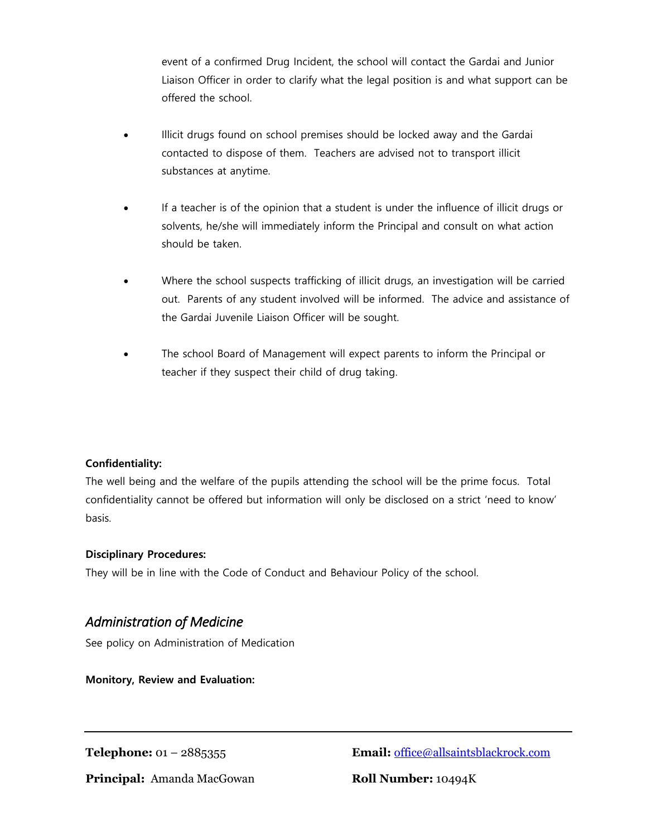event of a confirmed Drug Incident, the school will contact the Gardai and Junior Liaison Officer in order to clarify what the legal position is and what support can be offered the school.

- Illicit drugs found on school premises should be locked away and the Gardai contacted to dispose of them. Teachers are advised not to transport illicit substances at anytime.
- If a teacher is of the opinion that a student is under the influence of illicit drugs or solvents, he/she will immediately inform the Principal and consult on what action should be taken.
- Where the school suspects trafficking of illicit drugs, an investigation will be carried out. Parents of any student involved will be informed. The advice and assistance of the Gardai Juvenile Liaison Officer will be sought.
- The school Board of Management will expect parents to inform the Principal or teacher if they suspect their child of drug taking.

#### **Confidentiality:**

The well being and the welfare of the pupils attending the school will be the prime focus. Total confidentiality cannot be offered but information will only be disclosed on a strict 'need to know' basis.

#### **Disciplinary Procedures:**

They will be in line with the Code of Conduct and Behaviour Policy of the school.

# *Administration of Medicine*

See policy on Administration of Medication

**Monitory, Review and Evaluation:**

**Telephone:** 01 – 2885355 **Email:** [office@allsaintsblackrock.com](mailto:office@allsaintsblackrock.com)